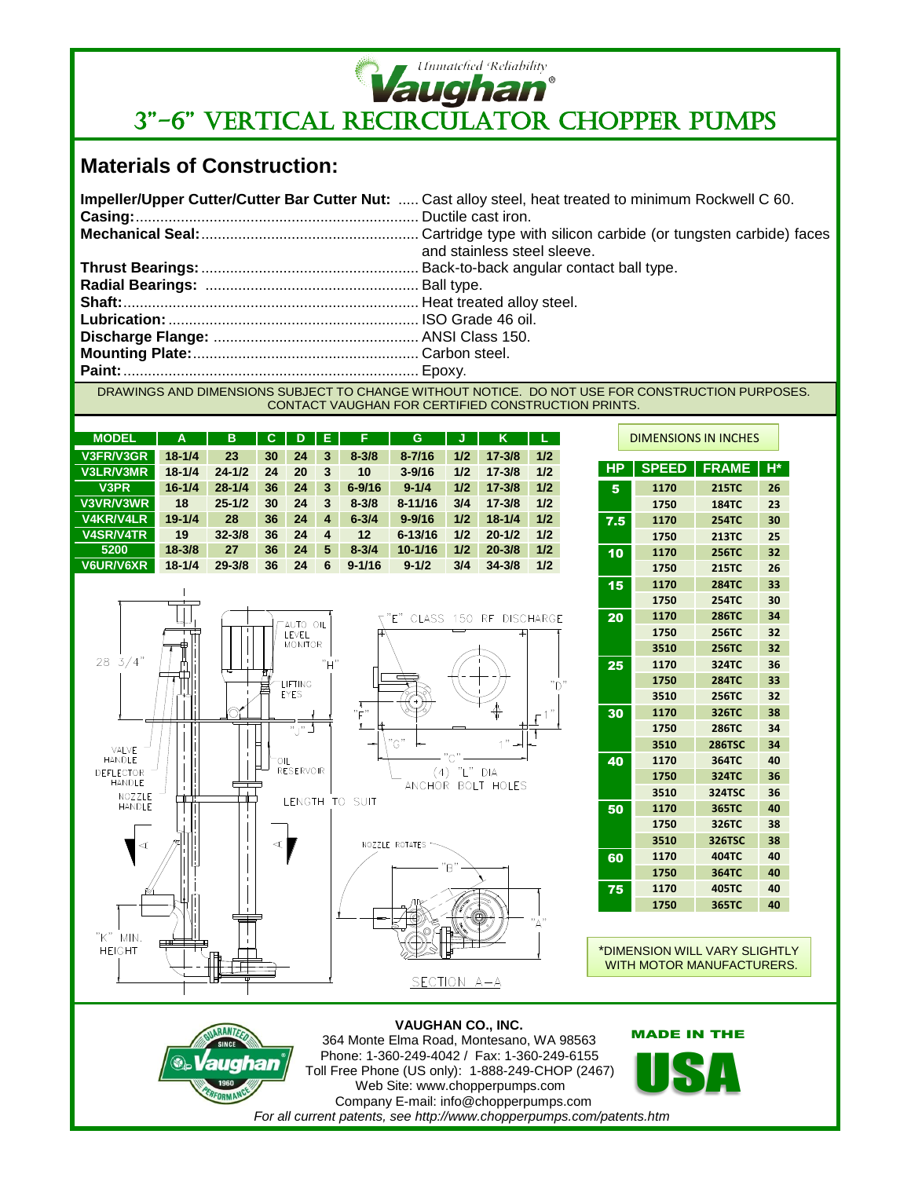

# **SUGHEIN**<br>
3"-6" VERTICAL RECIRCULATOR CHOPPER PUMPS

## **Materials of Construction:**

| Impeller/Upper Cutter/Cutter Bar Cutter Nut:  Cast alloy steel, heat treated to minimum Rockwell C 60. |
|--------------------------------------------------------------------------------------------------------|
| and stainless steel sleeve.                                                                            |
|                                                                                                        |
|                                                                                                        |
|                                                                                                        |
|                                                                                                        |
|                                                                                                        |
|                                                                                                        |
|                                                                                                        |
| DRAWINGS AND DIMENSIONS SUPIECT TO CHANGE WITHOUT NOTICE. DO NOT HSE EOR CONSTRUCTION DURDOSES         |

DRAWINGS AND DIMENSIONS SUBJECT TO CHANGE WITHOUT NOTICE. DO NOT USE FOR CONSTRUCTION PURPOSES. CONTACT VAUGHAN FOR CERTIFIED CONSTRUCTION PRINTS.

| <b>MODEL</b>     | A          | B          | С  | D  | Е | F          | G           | J   | Κ          | L.  |
|------------------|------------|------------|----|----|---|------------|-------------|-----|------------|-----|
| V3FR/V3GR        | $18 - 1/4$ | 23         | 30 | 24 | 3 | $8 - 3/8$  | $8 - 7/16$  | 1/2 | $17 - 3/8$ | 1/2 |
| V3LR/V3MR        | $18 - 1/4$ | $24 - 1/2$ | 24 | 20 | 3 | 10         | $3 - 9/16$  | 1/2 | $17 - 3/8$ | 1/2 |
| V3PR             | $16 - 1/4$ | $28 - 1/4$ | 36 | 24 | 3 | $6 - 9/16$ | $9 - 1/4$   | 1/2 | $17 - 3/8$ | 1/2 |
| V3VR/V3WR        | 18         | $25 - 1/2$ | 30 | 24 | 3 | $8 - 3/8$  | $8 - 11/16$ | 3/4 | $17 - 3/8$ | 1/2 |
| <b>V4KR/V4LR</b> | $19 - 1/4$ | 28         | 36 | 24 | 4 | $6 - 3/4$  | $9 - 9/16$  | 1/2 | $18 - 1/4$ | 1/2 |
| <b>V4SR/V4TR</b> | 19         | $32 - 3/8$ | 36 | 24 | 4 | 12         | $6 - 13/16$ | 1/2 | $20 - 1/2$ | 1/2 |
| 5200             | $18 - 3/8$ | 27         | 36 | 24 | 5 | $8 - 3/4$  | $10 - 1/16$ | 1/2 | $20 - 3/8$ | 1/2 |
| <b>V6UR/V6XR</b> | $18 - 1/4$ | $29 - 3/8$ | 36 | 24 | 6 | $9 - 1/16$ | $9 - 1/2$   | 3/4 | $34 - 3/8$ | 1/2 |



|           | <b>DIMENSIONS IN INCHES</b> |               |    |  |  |  |  |
|-----------|-----------------------------|---------------|----|--|--|--|--|
| <b>HP</b> | <b>SPEED</b>                | <b>FRAME</b>  | H* |  |  |  |  |
| 5         | 1170                        | <b>215TC</b>  | 26 |  |  |  |  |
|           | 1750                        | <b>184TC</b>  | 23 |  |  |  |  |
| 7.5       | 1170                        | <b>254TC</b>  | 30 |  |  |  |  |
|           | 1750                        | 213TC         | 25 |  |  |  |  |
| 10        | 1170                        | 256TC         | 32 |  |  |  |  |
|           | 1750                        | <b>215TC</b>  | 26 |  |  |  |  |
| 15        | 1170                        | <b>284TC</b>  | 33 |  |  |  |  |
|           | 1750                        | <b>254TC</b>  | 30 |  |  |  |  |
| 20        | 1170                        | <b>286TC</b>  | 34 |  |  |  |  |
|           | 1750                        | <b>256TC</b>  | 32 |  |  |  |  |
|           | 3510                        | 256TC         | 32 |  |  |  |  |
| 25        | 1170                        | 324TC         | 36 |  |  |  |  |
|           | 1750                        | <b>284TC</b>  | 33 |  |  |  |  |
|           | 3510                        | <b>256TC</b>  | 32 |  |  |  |  |
| 30        | 1170                        | 326TC         | 38 |  |  |  |  |
|           | 1750                        | <b>286TC</b>  | 34 |  |  |  |  |
|           | 3510                        | <b>286TSC</b> | 34 |  |  |  |  |
| 40        | 1170                        | 364TC         | 40 |  |  |  |  |
|           | 1750                        | 324TC         | 36 |  |  |  |  |
|           | 3510                        | 324TSC        | 36 |  |  |  |  |
| 50        | 1170                        | 365TC         | 40 |  |  |  |  |
|           | 1750                        | 326TC         | 38 |  |  |  |  |
|           | 3510                        | 326TSC        | 38 |  |  |  |  |
| 60        | 1170                        | 404TC         | 40 |  |  |  |  |
|           | 1750                        | 364TC         | 40 |  |  |  |  |
| 75        | 1170                        | 405TC         | 40 |  |  |  |  |
|           | 1750                        | 365TC         | 40 |  |  |  |  |

'n

\*DIMENSION WILL VARY SLIGHTLY WITH MOTOR MANUFACTURERS.

#### **VAUGHAN CO., INC.** 364 Monte Elma Road, Montesano, WA 98563

SECTION A-A



**HEIGHT** 

Phone: 1-360-249-4042 / Fax: 1-360-249-6155 Toll Free Phone (US only): 1-888-249-CHOP (2467) Web Site: www.chopperpumps.com Company E-mail: info@chopperpumps.com *For all current patents, see http://www.chopperpumps.com/patents.htm*